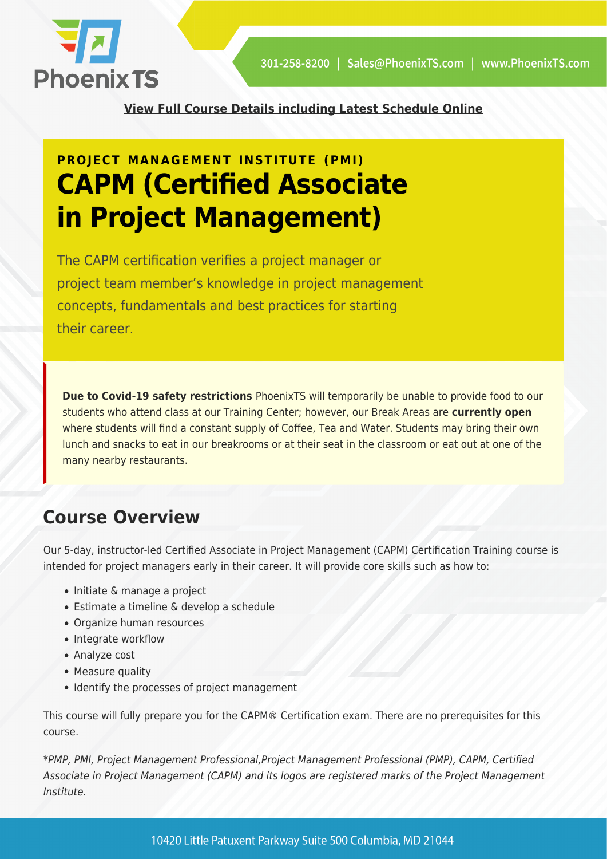

**[View Full Course Details including Latest Schedule Online](https://phoenixts.com/training-courses/certified-associate-in-project-management-capm/)**

# **PROJECT MANAGEMENT INSTITUTE (PMI) CAPM (Certified Associate in Project Management)**

The CAPM certification verifies a project manager or project team member's knowledge in project management concepts, fundamentals and best practices for starting their career.

**Due to Covid-19 safety restrictions** PhoenixTS will temporarily be unable to provide food to our students who attend class at our Training Center; however, our Break Areas are **currently open** where students will find a constant supply of Coffee, Tea and Water. Students may bring their own lunch and snacks to eat in our breakrooms or at their seat in the classroom or eat out at one of the many nearby restaurants.

## **Course Overview**

Our 5-day, instructor-led Certified Associate in Project Management (CAPM) Certification Training course is intended for project managers early in their career. It will provide core skills such as how to:

- Initiate & manage a project
- Estimate a timeline & develop a schedule
- Organize human resources
- Integrate workflow
- Analyze cost
- Measure quality
- Identify the processes of project management

This course will fully prepare you for the [CAPM® Certification exam.](https://phoenixts.com/2015/12/23/what-is-capm/) There are no prerequisites for this course.

\*PMP, PMI, Project Management Professional,Project Management Professional (PMP), CAPM, Certified Associate in Project Management (CAPM) and its logos are registered marks of the Project Management Institute.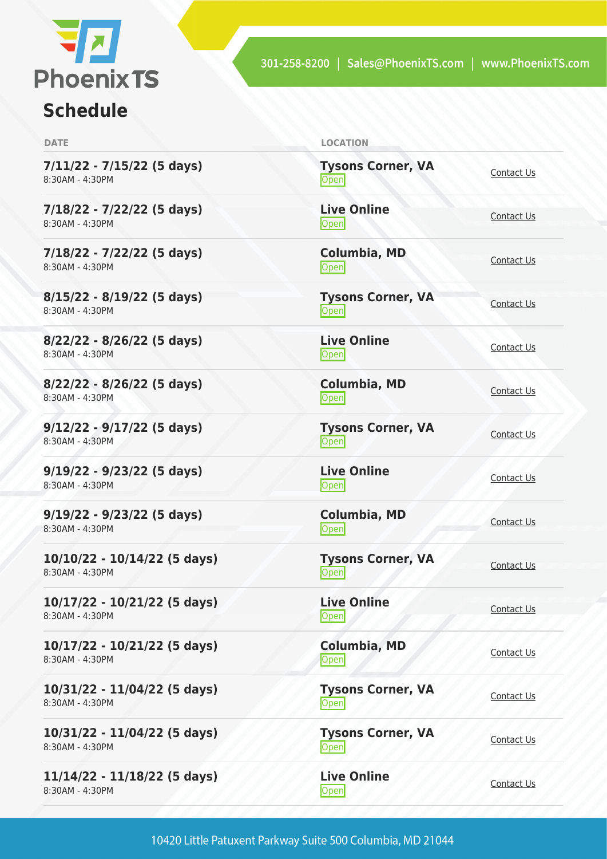

### **Schedule**

**7/11/22 - 7/15/22 (5 days)** 8:30AM - 4:30PM

**7/18/22 - 7/22/22 (5 days)** 8:30AM - 4:30PM

**7/18/22 - 7/22/22 (5 days)** 8:30AM - 4:30PM

**8/15/22 - 8/19/22 (5 days)** 8:30AM - 4:30PM

**8/22/22 - 8/26/22 (5 days)** 8:30AM - 4:30PM

**8/22/22 - 8/26/22 (5 days)** 8:30AM - 4:30PM

**9/12/22 - 9/17/22 (5 days)** 8:30AM - 4:30PM

**9/19/22 - 9/23/22 (5 days)** 8:30AM - 4:30PM

**9/19/22 - 9/23/22 (5 days)** 8:30AM - 4:30PM

**10/10/22 - 10/14/22 (5 days)** 8:30AM - 4:30PM

**10/17/22 - 10/21/22 (5 days)** 8:30AM - 4:30PM

**10/17/22 - 10/21/22 (5 days)** 8:30AM - 4:30PM

**10/31/22 - 11/04/22 (5 days)** 8:30AM - 4:30PM

**10/31/22 - 11/04/22 (5 days)** 8:30AM - 4:30PM

**11/14/22 - 11/18/22 (5 days)** 8:30AM - 4:30PM

**DATE LOCATION**

**Tysons Corner, VA Open** [Contact Us](https://phoenixts.com/schedule/more-info/?class=21654) Contact Us

**Live Online** <u>[Contact Us](https://phoenixts.com/schedule/more-info/?class=21666)</u><br>
Open

**Columbia, MD** [Contact Us](https://phoenixts.com/schedule/more-info/?class=21677)<br>
Open

**Tysons Corner, VA** <u>Open</u> [Contact Us](https://phoenixts.com/schedule/more-info/?class=21655)

**Live Online** <u>[Contact Us](https://phoenixts.com/schedule/more-info/?class=21667)</u><br>Open

**Columbia, MD** [Contact Us](https://phoenixts.com/schedule/more-info/?class=21676)<br>
Open

**Tysons Corner, VA [Contact Us](https://phoenixts.com/schedule/more-info/?class=21656)**<br>
Open

**Live Online** <u>[Contact Us](https://phoenixts.com/schedule/more-info/?class=21668)</u><br>Open Contact Us

**Columbia, MD [Contact Us](https://phoenixts.com/schedule/more-info/?class=21675)**<br> **Open** 

**Tysons Corner, VA Open** [Contact Us](https://phoenixts.com/schedule/more-info/?class=21657)

**Live Online** <u>[Contact Us](https://phoenixts.com/schedule/more-info/?class=21669)</u>

**Columbia, MD**

**Tysons Corner, VA Open** Corner, VA [Contact Us](https://phoenixts.com/schedule/more-info/?class=21658)

**Tysons Corner, VA Open** [Contact Us](https://phoenixts.com/schedule/more-info/?class=22616)

**Live Online** <u>Open</u> [Contact Us](https://phoenixts.com/schedule/more-info/?class=21670)

[Contact Us](https://phoenixts.com/schedule/more-info/?class=21674)

10420 Little Patuxent Parkway Suite 500 Columbia, MD 21044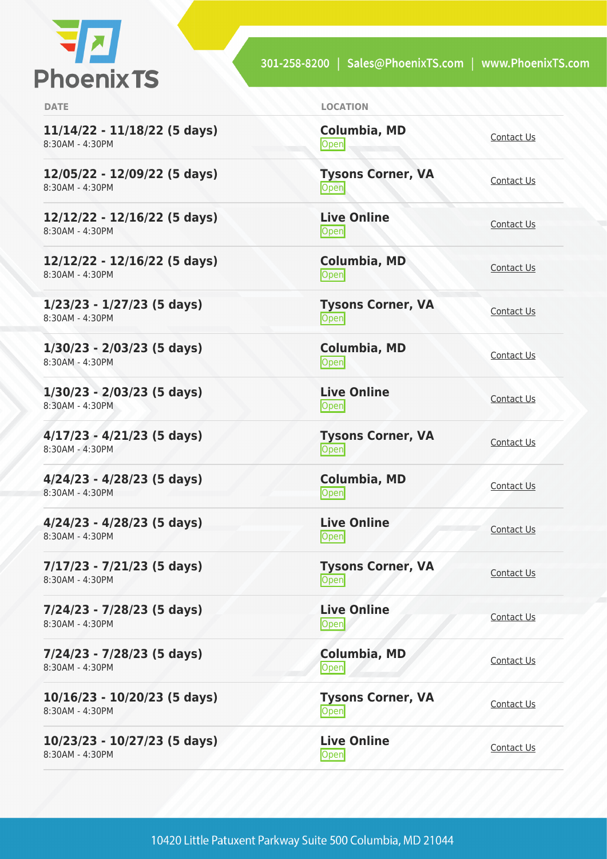

301-258-8200 | Sales@PhoenixTS.com | www.PhoenixTS.com

| × |  |  |
|---|--|--|
|   |  |  |

**11/14/22 - 11/18/22 (5 days)** 8:30AM - 4:30PM

**12/05/22 - 12/09/22 (5 days)** 8:30AM - 4:30PM

**12/12/22 - 12/16/22 (5 days)** 8:30AM - 4:30PM

**12/12/22 - 12/16/22 (5 days)** 8:30AM - 4:30PM

**1/23/23 - 1/27/23 (5 days)** 8:30AM - 4:30PM

**1/30/23 - 2/03/23 (5 days)** 8:30AM - 4:30PM

**1/30/23 - 2/03/23 (5 days)** 8:30AM - 4:30PM

**4/17/23 - 4/21/23 (5 days)** 8:30AM - 4:30PM

**4/24/23 - 4/28/23 (5 days)** 8:30AM - 4:30PM

**4/24/23 - 4/28/23 (5 days)** 8:30AM - 4:30PM

**7/17/23 - 7/21/23 (5 days)** 8:30AM - 4:30PM

**7/24/23 - 7/28/23 (5 days)** 8:30AM - 4:30PM

**7/24/23 - 7/28/23 (5 days)** 8:30AM - 4:30PM

**10/16/23 - 10/20/23 (5 days)** 8:30AM - 4:30PM

**10/23/23 - 10/27/23 (5 days)** 8:30AM - 4:30PM

LOCATION

**Columbia, MD [Contact Us](https://phoenixts.com/schedule/more-info/?class=21673)**<br> **Open** 

**Tysons Corner, VA** <u>Open</u>

**Live Online** <u>[Contact Us](https://phoenixts.com/schedule/more-info/?class=21671)</u>

**Columbia, MD** [Contact Us](https://phoenixts.com/schedule/more-info/?class=21672)<br>Open

**Tysons Corner, VA** <u>Open</u> [Contact Us](https://phoenixts.com/schedule/more-info/?class=30464)

**Columbia, MD [Contact Us](https://phoenixts.com/schedule/more-info/?class=30472)**<br>
Open

**Live Online** <u>Open</u> [Contact Us](https://phoenixts.com/schedule/more-info/?class=30474) Contact Us

**Tysons Corner, VA Open** [Contact Us](https://phoenixts.com/schedule/more-info/?class=30465)

**Columbia, MD** [Contact Us](https://phoenixts.com/schedule/more-info/?class=30473)<br>
Open

**Live Online** <u>Open</u> [Contact Us](https://phoenixts.com/schedule/more-info/?class=30475)

**Tysons Corner, VA Open** [Contact Us](https://phoenixts.com/schedule/more-info/?class=30466) Contact Us

**Live Online Open** [Contact Us](https://phoenixts.com/schedule/more-info/?class=30469)

**Columbia, MD** [Contact Us](https://phoenixts.com/schedule/more-info/?class=30470)

**Tysons Corner, VA Open** [Contact Us](https://phoenixts.com/schedule/more-info/?class=30467)

**Live Online** <u>[Contact Us](https://phoenixts.com/schedule/more-info/?class=30468)</u><br>Open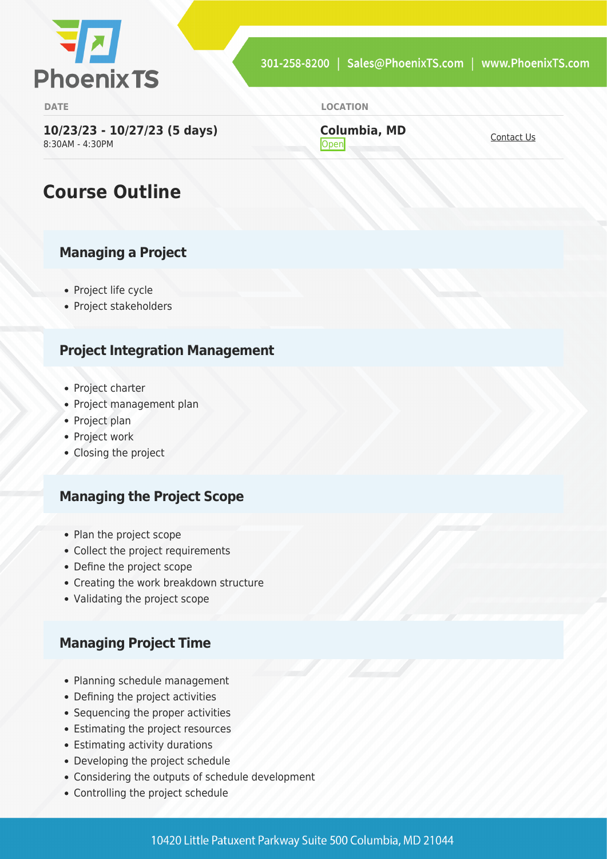

**[Contact Us](https://phoenixts.com/schedule/more-info/?class=30471)**<br> **Open** 

**Columbia, MD**

**DATE LOCATION**

**10/23/23 - 10/27/23 (5 days)** 8:30AM - 4:30PM

## **Course Outline**

#### **Managing a Project**

- Project life cycle
- Project stakeholders

#### **Project Integration Management**

- Project charter
- Project management plan
- Project plan
- Project work
- Closing the project

#### **Managing the Project Scope**

- Plan the project scope
- Collect the project requirements
- Define the project scope
- Creating the work breakdown structure
- Validating the project scope

#### **Managing Project Time**

- Planning schedule management
- Defining the project activities
- Sequencing the proper activities
- Estimating the project resources
- Estimating activity durations
- Developing the project schedule
- Considering the outputs of schedule development
- Controlling the project schedule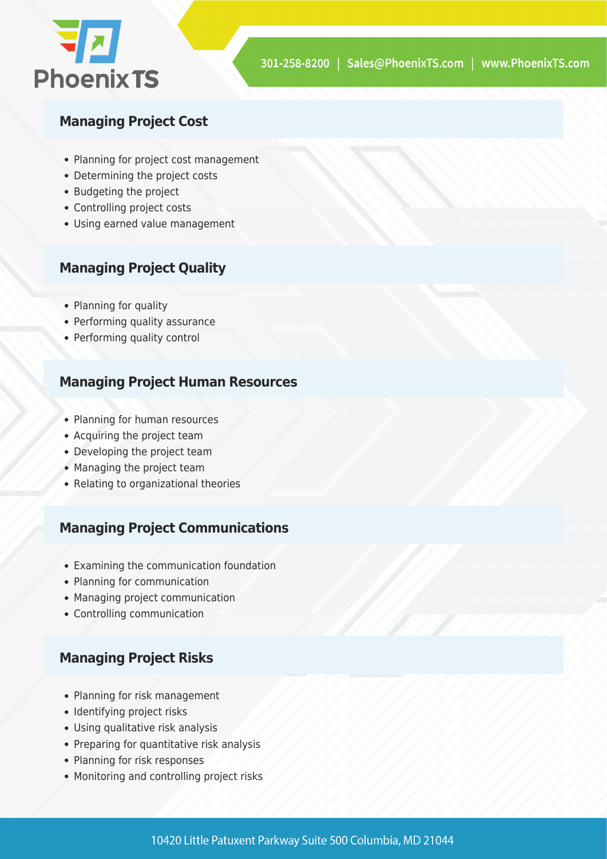

#### **Managing Project Cost**

- Planning for project cost management
- Determining the project costs
- Budgeting the project
- Controlling project costs
- Using earned value management

#### **Managing Project Quality**

- Planning for quality
- Performing quality assurance
- Performing quality control

#### **Managing Project Human Resources**

- Planning for human resources
- Acquiring the project team
- Developing the project team
- Managing the project team
- Relating to organizational theories

#### **Managing Project Communications**

- Examining the communication foundation
- Planning for communication
- Managing project communication
- Controlling communication

#### **Managing Project Risks**

- Planning for risk management
- Identifying project risks
- Using qualitative risk analysis
- Preparing for quantitative risk analysis
- Planning for risk responses
- Monitoring and controlling project risks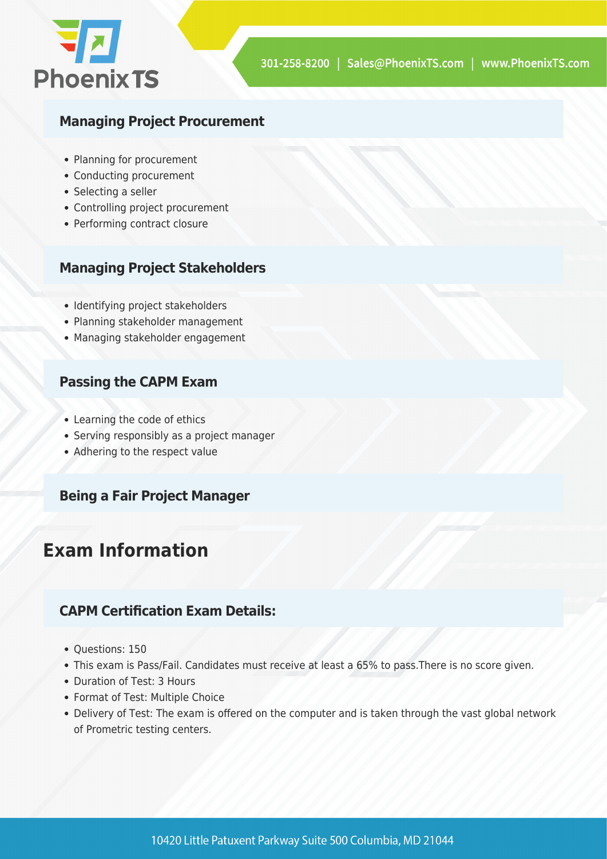

#### **Managing Project Procurement**

- Planning for procurement
- Conducting procurement
- Selecting a seller
- Controlling project procurement
- Performing contract closure

#### **Managing Project Stakeholders**

- Identifying project stakeholders
- Planning stakeholder management
- Managing stakeholder engagement

#### **Passing the CAPM Exam**

- Learning the code of ethics
- Serving responsibly as a project manager
- Adhering to the respect value

#### **Being a Fair Project Manager**

# **Exam Information**

#### **CAPM Certification Exam Details:**

- Questions: 150
- This exam is Pass/Fail. Candidates must receive at least a 65% to pass.There is no score given.
- Duration of Test: 3 Hours
- Format of Test: Multiple Choice
- Delivery of Test: The exam is offered on the computer and is taken through the vast global network of Prometric testing centers.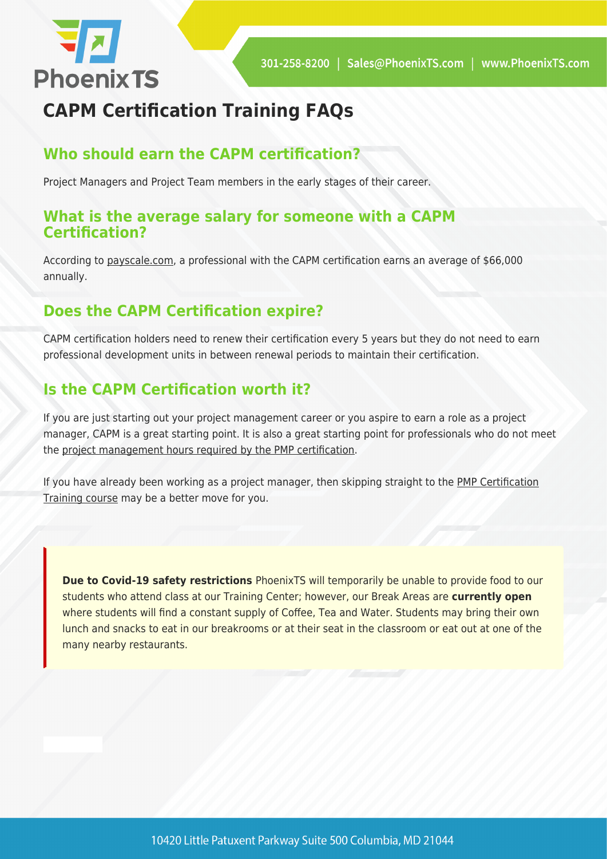

# **CAPM Certification Training FAQs**

### **Who should earn the CAPM certification?**

Project Managers and Project Team members in the early stages of their career.

#### **What is the average salary for someone with a CAPM Certification?**

According to [payscale.com](https://www.payscale.com/research/US/Certification=Certified_Associate_in_Project_Management_(CAPM)/Salary), a professional with the CAPM certification earns an average of \$66,000 annually.

#### **Does the CAPM Certification expire?**

CAPM certification holders need to renew their certification every 5 years but they do not need to earn professional development units in between renewal periods to maintain their certification.

### **Is the CAPM Certification worth it?**

If you are just starting out your project management career or you aspire to earn a role as a project manager, CAPM is a great starting point. It is also a great starting point for professionals who do not meet the [project management hours required by the PMP certification.](https://phoenixts.com/2017/07/18/pmp-requirements-earn-certification/)

If you have already been working as a project manager, then skipping straight to the [PMP Certification](https://phoenixts.com/training-courses/project-management-certification-maryland/) [Training course](https://phoenixts.com/training-courses/project-management-certification-maryland/) may be a better move for you.

**Due to Covid-19 safety restrictions** PhoenixTS will temporarily be unable to provide food to our students who attend class at our Training Center; however, our Break Areas are **currently open** where students will find a constant supply of Coffee, Tea and Water. Students may bring their own lunch and snacks to eat in our breakrooms or at their seat in the classroom or eat out at one of the many nearby restaurants.